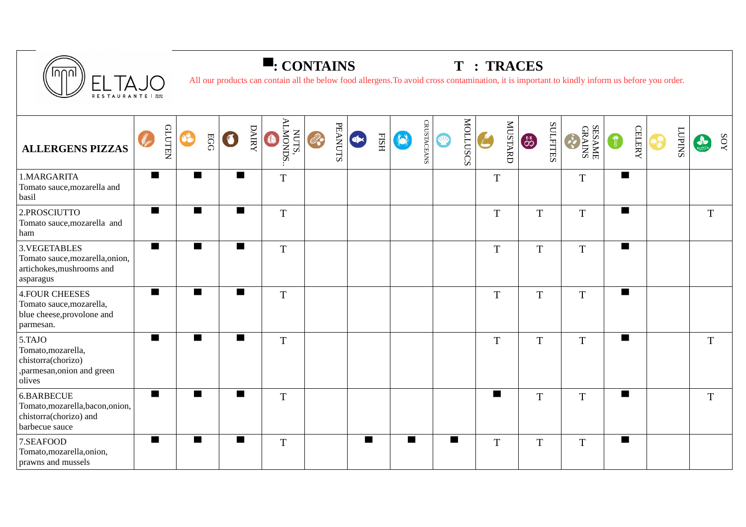

## **▀: CONTAINS T : TRACES**

All our products can contain all the below food allergens.To avoid cross contamination, it is important to kindly inform us before you order.

| <b>ALLERGENS PIZZAS</b>                                                                      | letter.        | <b>CLUTEN</b> | 68             | EGG |                | <b>DAIRY</b> | NUTS,<br>ALMONDS.<br>O | 2. | <b>PEANUTS</b> | $\left( \Phi x\right)$ | $_{\rm HSH}$ |                | <b>CRUSTACEANS</b> | O           | <b>MOLLUSCS</b> | $\sum_{i=1}^{N}$ | MUSTARD | $rac{EX}{33}$ | <b>SULFITES</b> | SESAME<br>GRAINS |                          | <b>CELERY</b> | $\mathbf{e}$ | <b>SNIdOT</b> | $\frac{1}{2}$ | <b>XOS</b> |
|----------------------------------------------------------------------------------------------|----------------|---------------|----------------|-----|----------------|--------------|------------------------|----|----------------|------------------------|--------------|----------------|--------------------|-------------|-----------------|------------------|---------|---------------|-----------------|------------------|--------------------------|---------------|--------------|---------------|---------------|------------|
| 1.MARGARITA<br>Tomato sauce, mozarella and<br>basil                                          | $\blacksquare$ |               | $\blacksquare$ |     | ■              |              | $\overline{T}$         |    |                |                        |              |                |                    |             |                 | $\overline{T}$   |         |               |                 | $\overline{T}$   | $\blacksquare$           |               |              |               |               |            |
| 2.PROSCIUTTO<br>Tomato sauce, mozarella and<br>ham                                           | $\blacksquare$ |               |                |     | $\blacksquare$ |              | $\mathbf T$            |    |                |                        |              |                |                    |             |                 | $\mathbf T$      |         | $\mathbf T$   |                 | $\mathbf T$      | $\blacksquare$           |               |              |               | T             |            |
| 3. VEGETABLES<br>Tomato sauce, mozarella, onion,<br>artichokes, mushrooms and<br>asparagus   |                |               | п              |     | п              |              | $\mathbf T$            |    |                |                        |              |                |                    |             |                 | $\mathbf T$      |         | T             |                 | $\mathbf T$      | $\blacksquare$           |               |              |               |               |            |
| <b>4.FOUR CHEESES</b><br>Tomato sauce, mozarella,<br>blue cheese, provolone and<br>parmesan. | $\blacksquare$ |               | $\blacksquare$ |     | $\blacksquare$ |              | $\mathbf T$            |    |                |                        |              |                |                    |             |                 | $\mathbf T$      |         | T             |                 | $\mathbf T$      | $\blacksquare$           |               |              |               |               |            |
| 5.TAJO<br>Tomato, mozarella,<br>chistorra(chorizo)<br>,parmesan,onion and green<br>olives    | $\blacksquare$ |               |                |     | $\blacksquare$ |              | $\overline{T}$         |    |                |                        |              |                |                    |             |                 | $\mathbf T$      |         | $\mathbf T$   |                 | $\mathbf T$      | $\overline{\phantom{a}}$ |               |              |               | $\mathbf T$   |            |
| 6.BARBECUE<br>Tomato, mozarella, bacon, onion,<br>chistorra(chorizo) and<br>barbecue sauce   | $\blacksquare$ |               | $\blacksquare$ |     | п              |              | $\mathbf T$            |    |                |                        |              |                |                    |             |                 | $\blacksquare$   |         | $\mathbf T$   |                 | $\mathbf T$      | $\blacksquare$           |               |              |               | T             |            |
| 7.SEAFOOD<br>Tomato, mozarella, onion,<br>prawns and mussels                                 | $\blacksquare$ |               | $\blacksquare$ |     | $\blacksquare$ |              | $\mathbf T$            |    |                | $\blacksquare$         |              | $\blacksquare$ |                    | <b>Tall</b> |                 | $\mathbf T$      |         | $\mathbf T$   |                 | $\mathbf T$      | $\blacksquare$           |               |              |               |               |            |